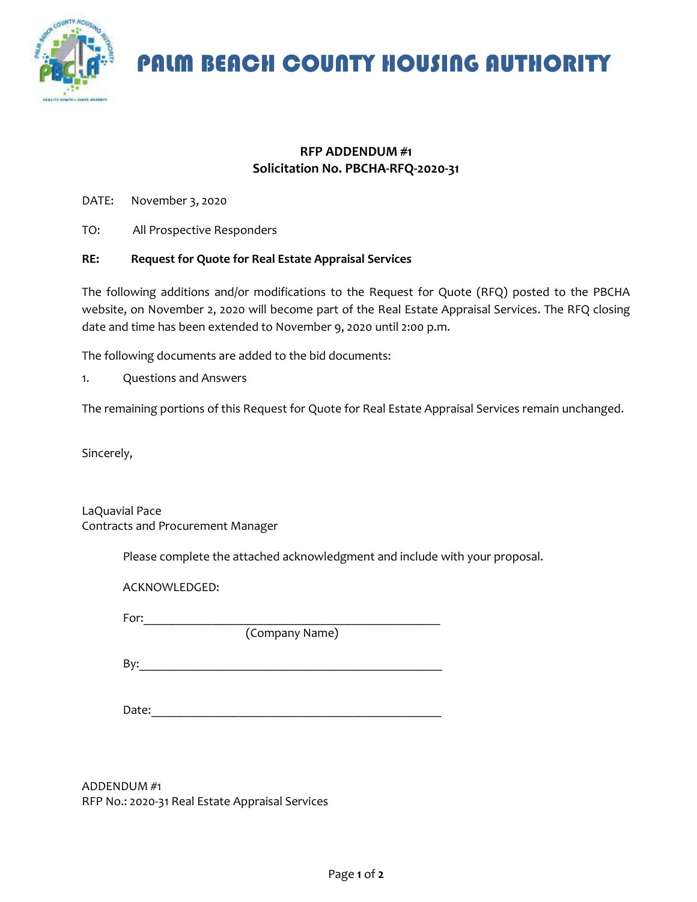

PALM BEACH COUNTY HOUSING AUTHORITY

## **RFP ADDENDUM #1 Solicitation No. PBCHA-RFQ-2020-31**

DATE: November 3, 2020

TO: All Prospective Responders

## **RE: Request for Quote for Real Estate Appraisal Services**

The following additions and/or modifications to the Request for Quote (RFQ) posted to the PBCHA website, on November 2, 2020 will become part of the Real Estate Appraisal Services. The RFQ closing date and time has been extended to November 9, 2020 until 2:00 p.m.

The following documents are added to the bid documents:

1. Questions and Answers

The remaining portions of this Request for Quote for Real Estate Appraisal Services remain unchanged.

Sincerely,

LaQuavial Pace Contracts and Procurement Manager

Please complete the attached acknowledgment and include with your proposal.

ACKNOWLEDGED:

For:  $\qquad \qquad \qquad$ 

(Company Name)

 $\mathsf{By:}$ 

Date:  $\blacksquare$ 

ADDENDUM #1 RFP No.: 2020-31 Real Estate Appraisal Services